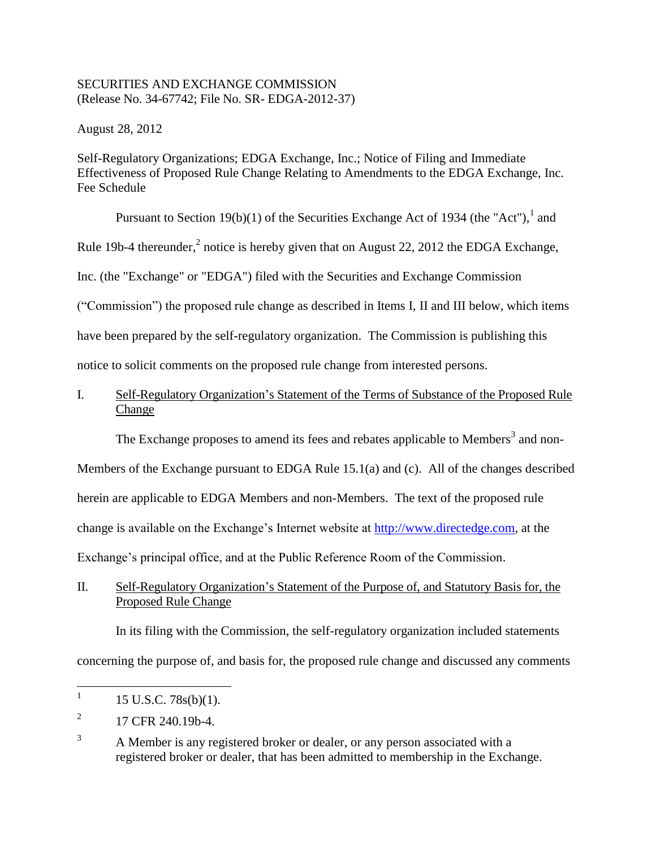### SECURITIES AND EXCHANGE COMMISSION (Release No. 34-67742; File No. SR- EDGA-2012-37)

August 28, 2012

Self-Regulatory Organizations; EDGA Exchange, Inc.; Notice of Filing and Immediate Effectiveness of Proposed Rule Change Relating to Amendments to the EDGA Exchange, Inc. Fee Schedule

Pursuant to Section 19(b)(1) of the Securities Exchange Act of 1934 (the "Act"), and

Rule 19b-4 thereunder,<sup>2</sup> notice is hereby given that on August 22, 2012 the EDGA Exchange,

Inc. (the "Exchange" or "EDGA") filed with the Securities and Exchange Commission

("Commission") the proposed rule change as described in Items I, II and III below, which items

have been prepared by the self-regulatory organization. The Commission is publishing this

notice to solicit comments on the proposed rule change from interested persons.

# I. Self-Regulatory Organization's Statement of the Terms of Substance of the Proposed Rule Change

The Exchange proposes to amend its fees and rebates applicable to Members<sup>3</sup> and non-

Members of the Exchange pursuant to EDGA Rule 15.1(a) and (c). All of the changes described herein are applicable to EDGA Members and non-Members. The text of the proposed rule change is available on the Exchange's Internet website at [http://www.directedge.com,](http://www.directedge.com/) at the Exchange's principal office, and at the Public Reference Room of the Commission.

## II. Self-Regulatory Organization's Statement of the Purpose of, and Statutory Basis for, the Proposed Rule Change

In its filing with the Commission, the self-regulatory organization included statements concerning the purpose of, and basis for, the proposed rule change and discussed any comments

 $\frac{1}{1}$ 15 U.S.C. 78s(b)(1).

<sup>2</sup> 17 CFR 240.19b-4.

<sup>&</sup>lt;sup>3</sup> A Member is any registered broker or dealer, or any person associated with a registered broker or dealer, that has been admitted to membership in the Exchange.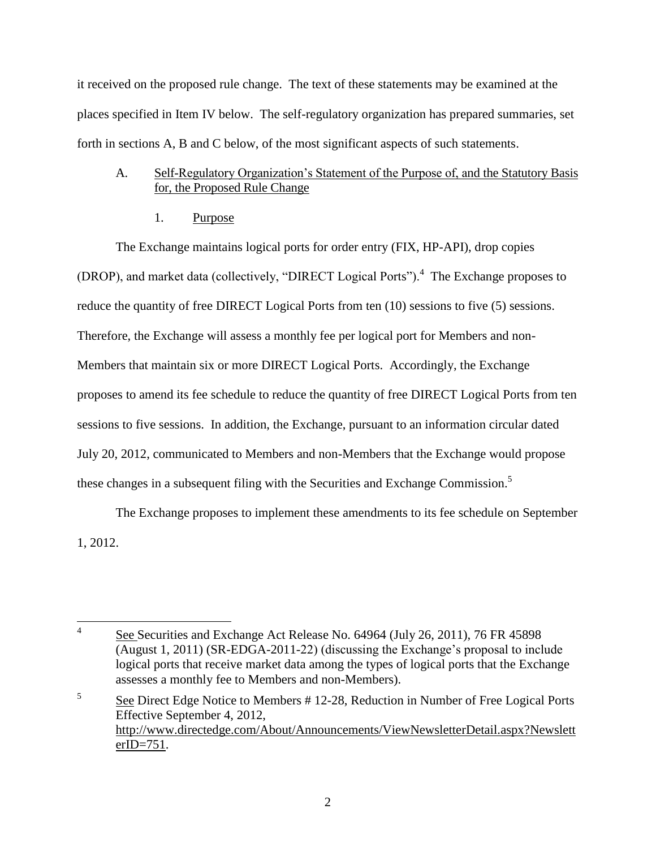it received on the proposed rule change. The text of these statements may be examined at the places specified in Item IV below. The self-regulatory organization has prepared summaries, set forth in sections A, B and C below, of the most significant aspects of such statements.

### A. Self-Regulatory Organization's Statement of the Purpose of, and the Statutory Basis for, the Proposed Rule Change

1. Purpose

The Exchange maintains logical ports for order entry (FIX, HP-API), drop copies (DROP), and market data (collectively, "DIRECT Logical Ports").<sup>4</sup> The Exchange proposes to reduce the quantity of free DIRECT Logical Ports from ten (10) sessions to five (5) sessions. Therefore, the Exchange will assess a monthly fee per logical port for Members and non-Members that maintain six or more DIRECT Logical Ports. Accordingly, the Exchange proposes to amend its fee schedule to reduce the quantity of free DIRECT Logical Ports from ten sessions to five sessions. In addition, the Exchange, pursuant to an information circular dated July 20, 2012, communicated to Members and non-Members that the Exchange would propose these changes in a subsequent filing with the Securities and Exchange Commission.<sup>5</sup>

The Exchange proposes to implement these amendments to its fee schedule on September 1, 2012.

 $\frac{1}{4}$ See Securities and Exchange Act Release No. 64964 (July 26, 2011), 76 FR 45898 (August 1, 2011) (SR-EDGA-2011-22) (discussing the Exchange's proposal to include logical ports that receive market data among the types of logical ports that the Exchange assesses a monthly fee to Members and non-Members).

<sup>5</sup> See Direct Edge Notice to Members # 12-28, Reduction in Number of Free Logical Ports Effective September 4, 2012, http://www.directedge.com/About/Announcements/ViewNewsletterDetail.aspx?Newslett erID=751.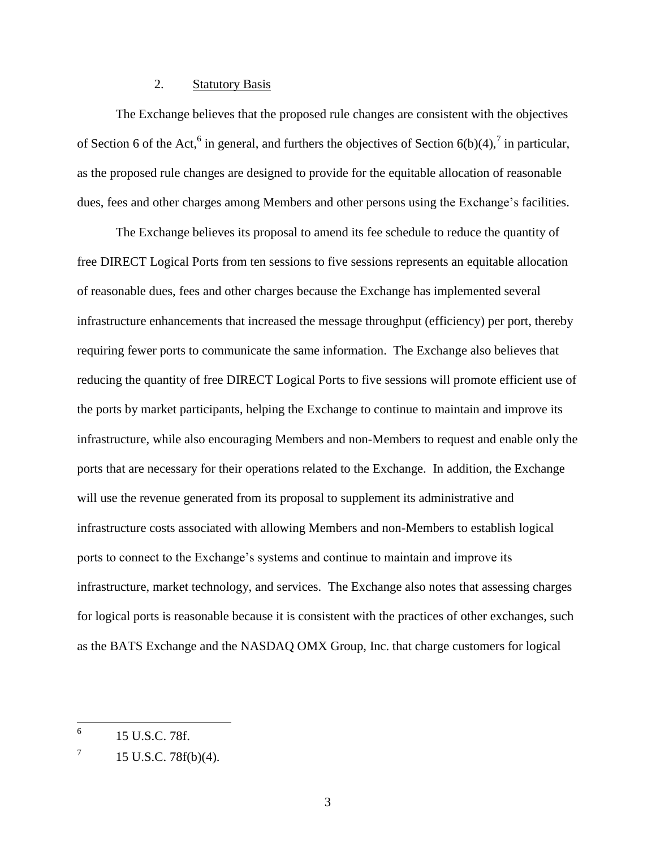#### 2. Statutory Basis

The Exchange believes that the proposed rule changes are consistent with the objectives of Section 6 of the Act,  $6$  in general, and furthers the objectives of Section 6(b)(4),  $7$  in particular, as the proposed rule changes are designed to provide for the equitable allocation of reasonable dues, fees and other charges among Members and other persons using the Exchange's facilities.

The Exchange believes its proposal to amend its fee schedule to reduce the quantity of free DIRECT Logical Ports from ten sessions to five sessions represents an equitable allocation of reasonable dues, fees and other charges because the Exchange has implemented several infrastructure enhancements that increased the message throughput (efficiency) per port, thereby requiring fewer ports to communicate the same information. The Exchange also believes that reducing the quantity of free DIRECT Logical Ports to five sessions will promote efficient use of the ports by market participants, helping the Exchange to continue to maintain and improve its infrastructure, while also encouraging Members and non-Members to request and enable only the ports that are necessary for their operations related to the Exchange. In addition, the Exchange will use the revenue generated from its proposal to supplement its administrative and infrastructure costs associated with allowing Members and non-Members to establish logical ports to connect to the Exchange's systems and continue to maintain and improve its infrastructure, market technology, and services. The Exchange also notes that assessing charges for logical ports is reasonable because it is consistent with the practices of other exchanges, such as the BATS Exchange and the NASDAQ OMX Group, Inc. that charge customers for logical

 6 15 U.S.C. 78f.

<sup>7</sup> 15 U.S.C. 78f(b)(4).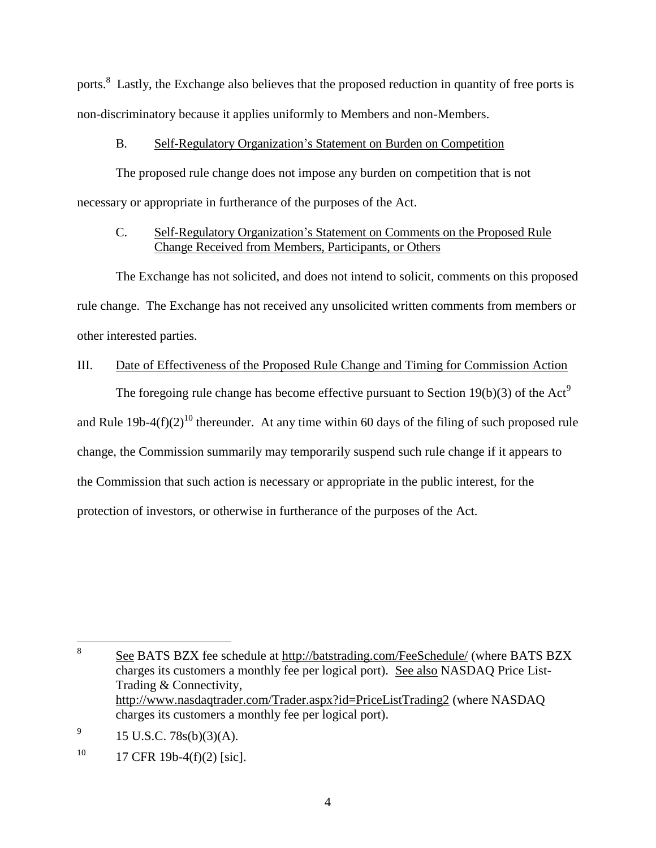ports.<sup>8</sup> Lastly, the Exchange also believes that the proposed reduction in quantity of free ports is non-discriminatory because it applies uniformly to Members and non-Members.

### B. Self-Regulatory Organization's Statement on Burden on Competition

The proposed rule change does not impose any burden on competition that is not necessary or appropriate in furtherance of the purposes of the Act.

# C. Self-Regulatory Organization's Statement on Comments on the Proposed Rule Change Received from Members, Participants, or Others

The Exchange has not solicited, and does not intend to solicit, comments on this proposed rule change. The Exchange has not received any unsolicited written comments from members or other interested parties.

## III. Date of Effectiveness of the Proposed Rule Change and Timing for Commission Action

The foregoing rule change has become effective pursuant to Section 19(b)(3) of the Act<sup>9</sup> and Rule 19b-4(f)(2)<sup>10</sup> thereunder. At any time within 60 days of the filing of such proposed rule change, the Commission summarily may temporarily suspend such rule change if it appears to the Commission that such action is necessary or appropriate in the public interest, for the protection of investors, or otherwise in furtherance of the purposes of the Act.

9 15 U.S.C. 78s(b)(3)(A).

 8 See BATS BZX fee schedule at http://batstrading.com/FeeSchedule/ (where BATS BZX charges its customers a monthly fee per logical port). See also NASDAQ Price List-Trading & Connectivity, http://www.nasdaqtrader.com/Trader.aspx?id=PriceListTrading2 (where NASDAQ charges its customers a monthly fee per logical port).

<sup>10</sup> 17 CFR 19b-4(f)(2) [sic].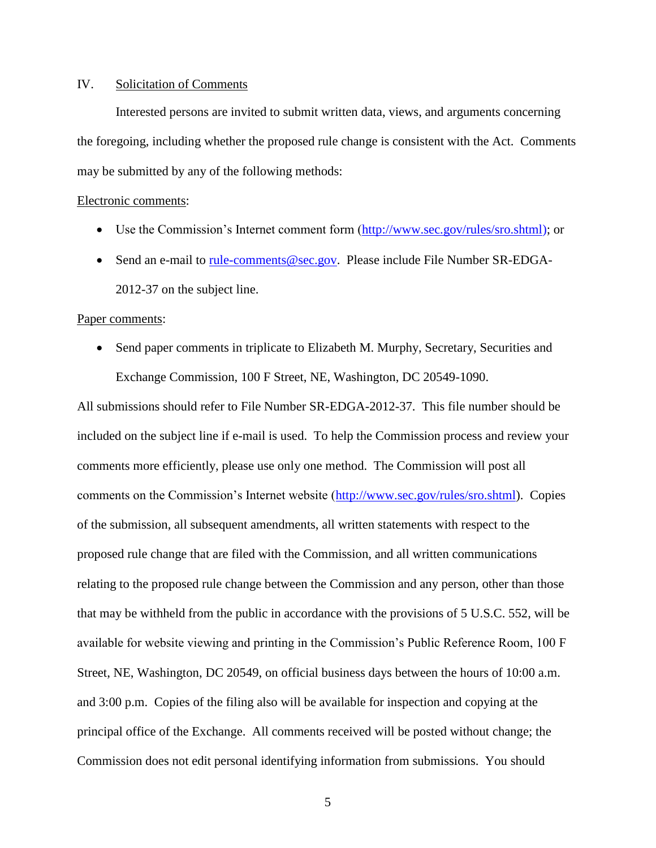#### IV. Solicitation of Comments

Interested persons are invited to submit written data, views, and arguments concerning the foregoing, including whether the proposed rule change is consistent with the Act. Comments may be submitted by any of the following methods:

#### Electronic comments:

- Use the Commission's Internet comment form [\(http://www.sec.gov/rules/sro.shtml\)](http://www.sec.gov/rules/sro.shtml); or
- Send an e-mail to [rule-comments@sec.gov.](mailto:rule-comments@sec.gov) Please include File Number SR-EDGA-2012-37 on the subject line.

#### Paper comments:

• Send paper comments in triplicate to Elizabeth M. Murphy, Secretary, Securities and Exchange Commission, 100 F Street, NE, Washington, DC 20549-1090.

All submissions should refer to File Number SR-EDGA-2012-37. This file number should be included on the subject line if e-mail is used. To help the Commission process and review your comments more efficiently, please use only one method. The Commission will post all comments on the Commission's Internet website [\(http://www.sec.gov/rules/sro.shtml\)](http://www.sec.gov/rules/sro.shtml). Copies of the submission, all subsequent amendments, all written statements with respect to the proposed rule change that are filed with the Commission, and all written communications relating to the proposed rule change between the Commission and any person, other than those that may be withheld from the public in accordance with the provisions of 5 U.S.C. 552, will be available for website viewing and printing in the Commission's Public Reference Room, 100 F Street, NE, Washington, DC 20549, on official business days between the hours of 10:00 a.m. and 3:00 p.m. Copies of the filing also will be available for inspection and copying at the principal office of the Exchange. All comments received will be posted without change; the Commission does not edit personal identifying information from submissions. You should